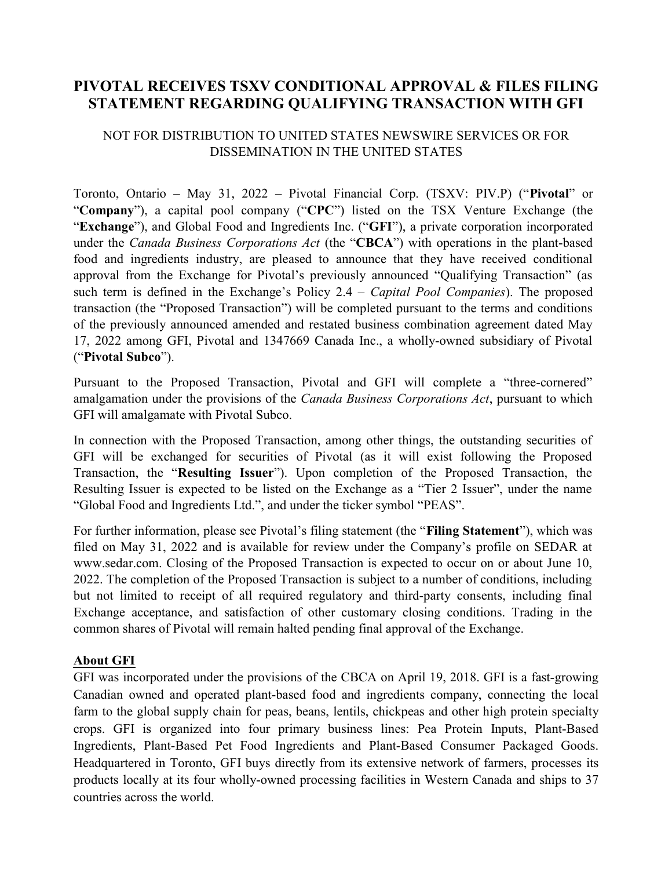# PIVOTAL RECEIVES TSXV CONDITIONAL APPROVAL & FILES FILING STATEMENT REGARDING QUALIFYING TRANSACTION WITH GFI

## NOT FOR DISTRIBUTION TO UNITED STATES NEWSWIRE SERVICES OR FOR DISSEMINATION IN THE UNITED STATES

Toronto, Ontario – May 31, 2022 – Pivotal Financial Corp. (TSXV: PIV.P) ("Pivotal" or "Company"), a capital pool company ("CPC") listed on the TSX Venture Exchange (the "Exchange"), and Global Food and Ingredients Inc. ("GFI"), a private corporation incorporated under the Canada Business Corporations Act (the "CBCA") with operations in the plant-based food and ingredients industry, are pleased to announce that they have received conditional approval from the Exchange for Pivotal's previously announced "Qualifying Transaction" (as such term is defined in the Exchange's Policy  $2.4 - Capital Pool Companies$ . The proposed transaction (the "Proposed Transaction") will be completed pursuant to the terms and conditions of the previously announced amended and restated business combination agreement dated May 17, 2022 among GFI, Pivotal and 1347669 Canada Inc., a wholly-owned subsidiary of Pivotal ("Pivotal Subco").

Pursuant to the Proposed Transaction, Pivotal and GFI will complete a "three-cornered" amalgamation under the provisions of the *Canada Business Corporations Act*, pursuant to which GFI will amalgamate with Pivotal Subco.

In connection with the Proposed Transaction, among other things, the outstanding securities of GFI will be exchanged for securities of Pivotal (as it will exist following the Proposed Transaction, the "Resulting Issuer"). Upon completion of the Proposed Transaction, the Resulting Issuer is expected to be listed on the Exchange as a "Tier 2 Issuer", under the name "Global Food and Ingredients Ltd.", and under the ticker symbol "PEAS".

For further information, please see Pivotal's filing statement (the "Filing Statement"), which was filed on May 31, 2022 and is available for review under the Company's profile on SEDAR at www.sedar.com. Closing of the Proposed Transaction is expected to occur on or about June 10, 2022. The completion of the Proposed Transaction is subject to a number of conditions, including but not limited to receipt of all required regulatory and third-party consents, including final Exchange acceptance, and satisfaction of other customary closing conditions. Trading in the common shares of Pivotal will remain halted pending final approval of the Exchange.

## About GFI

GFI was incorporated under the provisions of the CBCA on April 19, 2018. GFI is a fast-growing Canadian owned and operated plant-based food and ingredients company, connecting the local farm to the global supply chain for peas, beans, lentils, chickpeas and other high protein specialty crops. GFI is organized into four primary business lines: Pea Protein Inputs, Plant-Based Ingredients, Plant-Based Pet Food Ingredients and Plant-Based Consumer Packaged Goods. Headquartered in Toronto, GFI buys directly from its extensive network of farmers, processes its products locally at its four wholly-owned processing facilities in Western Canada and ships to 37 countries across the world.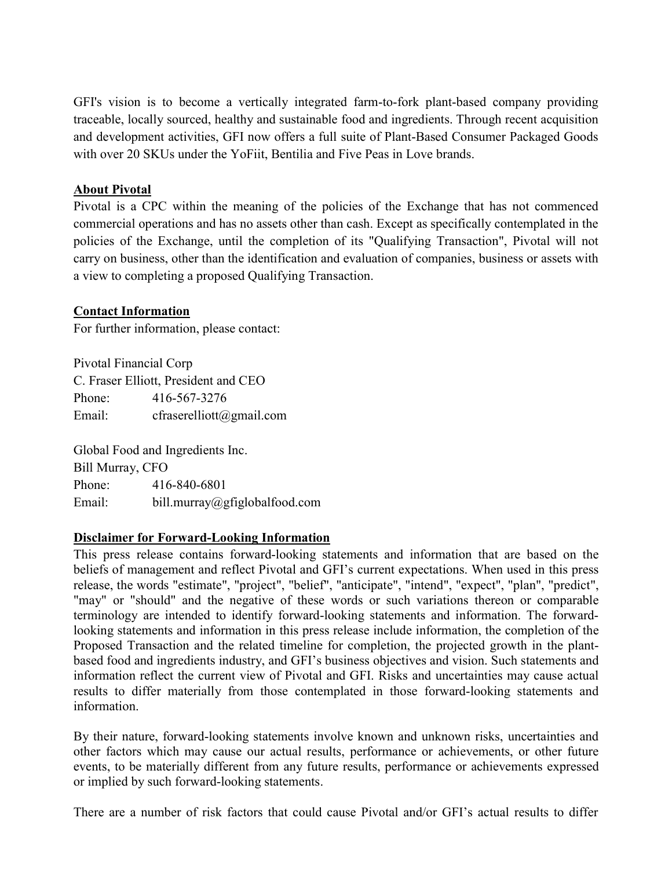GFI's vision is to become a vertically integrated farm-to-fork plant-based company providing traceable, locally sourced, healthy and sustainable food and ingredients. Through recent acquisition and development activities, GFI now offers a full suite of Plant-Based Consumer Packaged Goods with over 20 SKUs under the YoFiit, Bentilia and Five Peas in Love brands.

### About Pivotal

Pivotal is a CPC within the meaning of the policies of the Exchange that has not commenced commercial operations and has no assets other than cash. Except as specifically contemplated in the policies of the Exchange, until the completion of its "Qualifying Transaction", Pivotal will not carry on business, other than the identification and evaluation of companies, business or assets with a view to completing a proposed Qualifying Transaction.

#### Contact Information

For further information, please contact:

Pivotal Financial Corp C. Fraser Elliott, President and CEO Phone: 416-567-3276 Email: cfraserelliott@gmail.com

Global Food and Ingredients Inc. Bill Murray, CFO Phone: 416-840-6801 Email: bill.murray@gfiglobalfood.com

## Disclaimer for Forward-Looking Information

This press release contains forward-looking statements and information that are based on the beliefs of management and reflect Pivotal and GFI's current expectations. When used in this press release, the words "estimate", "project", "belief", "anticipate", "intend", "expect", "plan", "predict", "may" or "should" and the negative of these words or such variations thereon or comparable terminology are intended to identify forward-looking statements and information. The forwardlooking statements and information in this press release include information, the completion of the Proposed Transaction and the related timeline for completion, the projected growth in the plantbased food and ingredients industry, and GFI's business objectives and vision. Such statements and information reflect the current view of Pivotal and GFI. Risks and uncertainties may cause actual results to differ materially from those contemplated in those forward-looking statements and information.

By their nature, forward-looking statements involve known and unknown risks, uncertainties and other factors which may cause our actual results, performance or achievements, or other future events, to be materially different from any future results, performance or achievements expressed or implied by such forward-looking statements.

There are a number of risk factors that could cause Pivotal and/or GFI's actual results to differ